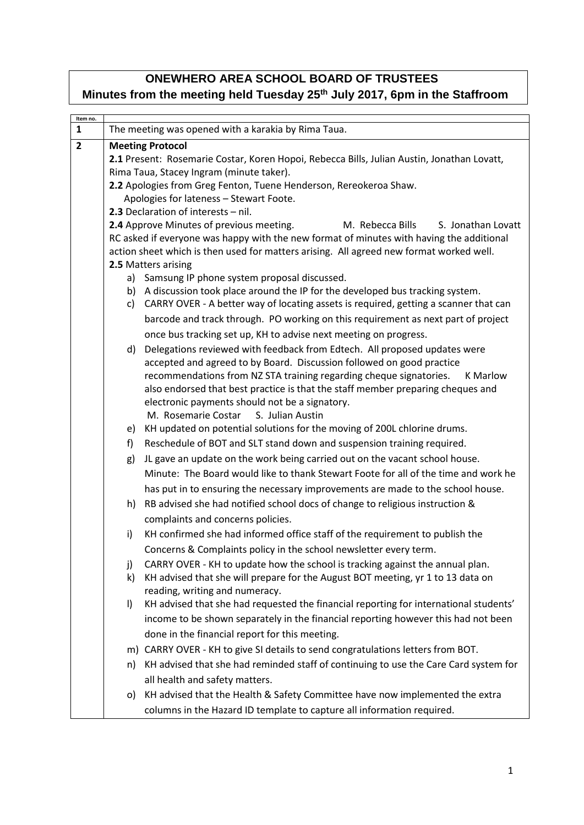## **ONEWHERO AREA SCHOOL BOARD OF TRUSTEES Minutes from the meeting held Tuesday 25th July 2017, 6pm in the Staffroom**

| Item no.       |                                                                                                              |                                                                                       |  |  |
|----------------|--------------------------------------------------------------------------------------------------------------|---------------------------------------------------------------------------------------|--|--|
| 1              |                                                                                                              | The meeting was opened with a karakia by Rima Taua.                                   |  |  |
| $\overline{2}$ |                                                                                                              | <b>Meeting Protocol</b>                                                               |  |  |
|                | 2.1 Present: Rosemarie Costar, Koren Hopoi, Rebecca Bills, Julian Austin, Jonathan Lovatt,                   |                                                                                       |  |  |
|                | Rima Taua, Stacey Ingram (minute taker).                                                                     |                                                                                       |  |  |
|                | 2.2 Apologies from Greg Fenton, Tuene Henderson, Rereokeroa Shaw.<br>Apologies for lateness - Stewart Foote. |                                                                                       |  |  |
|                | 2.3 Declaration of interests - nil.                                                                          |                                                                                       |  |  |
|                | 2.4 Approve Minutes of previous meeting.<br>M. Rebecca Bills<br>S. Jonathan Lovatt                           |                                                                                       |  |  |
|                | RC asked if everyone was happy with the new format of minutes with having the additional                     |                                                                                       |  |  |
|                | action sheet which is then used for matters arising. All agreed new format worked well.                      |                                                                                       |  |  |
|                |                                                                                                              | 2.5 Matters arising                                                                   |  |  |
|                |                                                                                                              | a) Samsung IP phone system proposal discussed.                                        |  |  |
|                | b)                                                                                                           | A discussion took place around the IP for the developed bus tracking system.          |  |  |
|                | c)                                                                                                           | CARRY OVER - A better way of locating assets is required, getting a scanner that can  |  |  |
|                |                                                                                                              | barcode and track through. PO working on this requirement as next part of project     |  |  |
|                |                                                                                                              | once bus tracking set up, KH to advise next meeting on progress.                      |  |  |
|                | d)                                                                                                           | Delegations reviewed with feedback from Edtech. All proposed updates were             |  |  |
|                |                                                                                                              | accepted and agreed to by Board. Discussion followed on good practice                 |  |  |
|                |                                                                                                              | recommendations from NZ STA training regarding cheque signatories.<br><b>K</b> Marlow |  |  |
|                |                                                                                                              | also endorsed that best practice is that the staff member preparing cheques and       |  |  |
|                |                                                                                                              | electronic payments should not be a signatory.                                        |  |  |
|                |                                                                                                              | M. Rosemarie Costar S. Julian Austin                                                  |  |  |
|                | e)                                                                                                           | KH updated on potential solutions for the moving of 200L chlorine drums.              |  |  |
|                | f)                                                                                                           | Reschedule of BOT and SLT stand down and suspension training required.                |  |  |
|                | g)                                                                                                           | JL gave an update on the work being carried out on the vacant school house.           |  |  |
|                |                                                                                                              | Minute: The Board would like to thank Stewart Foote for all of the time and work he   |  |  |
|                |                                                                                                              | has put in to ensuring the necessary improvements are made to the school house.       |  |  |
|                | h)                                                                                                           | RB advised she had notified school docs of change to religious instruction &          |  |  |
|                |                                                                                                              | complaints and concerns policies.                                                     |  |  |
|                | i)                                                                                                           | KH confirmed she had informed office staff of the requirement to publish the          |  |  |
|                |                                                                                                              | Concerns & Complaints policy in the school newsletter every term.                     |  |  |
|                | j)                                                                                                           | CARRY OVER - KH to update how the school is tracking against the annual plan.         |  |  |
|                | k)                                                                                                           | KH advised that she will prepare for the August BOT meeting, yr 1 to 13 data on       |  |  |
|                |                                                                                                              | reading, writing and numeracy.                                                        |  |  |
|                | I)                                                                                                           | KH advised that she had requested the financial reporting for international students' |  |  |
|                |                                                                                                              | income to be shown separately in the financial reporting however this had not been    |  |  |
|                |                                                                                                              | done in the financial report for this meeting.                                        |  |  |
|                |                                                                                                              | m) CARRY OVER - KH to give SI details to send congratulations letters from BOT.       |  |  |
|                | n)                                                                                                           | KH advised that she had reminded staff of continuing to use the Care Card system for  |  |  |
|                |                                                                                                              | all health and safety matters.                                                        |  |  |
|                | O)                                                                                                           | KH advised that the Health & Safety Committee have now implemented the extra          |  |  |
|                |                                                                                                              | columns in the Hazard ID template to capture all information required.                |  |  |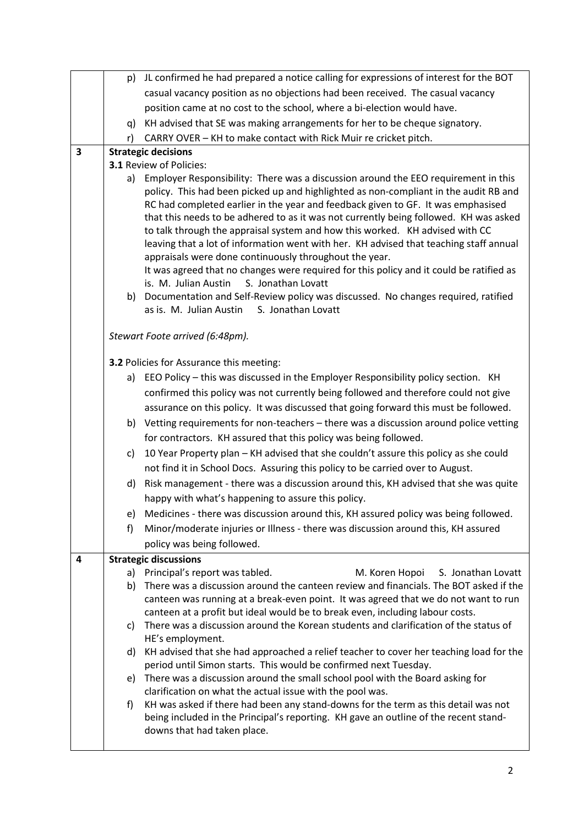|                         |    | p) JL confirmed he had prepared a notice calling for expressions of interest for the BOT                                                                                   |  |  |
|-------------------------|----|----------------------------------------------------------------------------------------------------------------------------------------------------------------------------|--|--|
|                         |    | casual vacancy position as no objections had been received. The casual vacancy                                                                                             |  |  |
|                         |    | position came at no cost to the school, where a bi-election would have.                                                                                                    |  |  |
|                         | q) | KH advised that SE was making arrangements for her to be cheque signatory.                                                                                                 |  |  |
|                         | r) | CARRY OVER - KH to make contact with Rick Muir re cricket pitch.                                                                                                           |  |  |
| 3                       |    | <b>Strategic decisions</b>                                                                                                                                                 |  |  |
|                         |    | <b>3.1 Review of Policies:</b>                                                                                                                                             |  |  |
|                         | a) | Employer Responsibility: There was a discussion around the EEO requirement in this                                                                                         |  |  |
|                         |    | policy. This had been picked up and highlighted as non-compliant in the audit RB and                                                                                       |  |  |
|                         |    | RC had completed earlier in the year and feedback given to GF. It was emphasised<br>that this needs to be adhered to as it was not currently being followed. KH was asked  |  |  |
|                         |    | to talk through the appraisal system and how this worked. KH advised with CC                                                                                               |  |  |
|                         |    | leaving that a lot of information went with her. KH advised that teaching staff annual                                                                                     |  |  |
|                         |    | appraisals were done continuously throughout the year.                                                                                                                     |  |  |
|                         |    | It was agreed that no changes were required for this policy and it could be ratified as                                                                                    |  |  |
|                         |    | is. M. Julian Austin<br>S. Jonathan Lovatt                                                                                                                                 |  |  |
|                         | b) | Documentation and Self-Review policy was discussed. No changes required, ratified                                                                                          |  |  |
|                         |    | as is. M. Julian Austin<br>S. Jonathan Lovatt                                                                                                                              |  |  |
|                         |    | Stewart Foote arrived (6:48pm).                                                                                                                                            |  |  |
|                         |    |                                                                                                                                                                            |  |  |
|                         |    | 3.2 Policies for Assurance this meeting:                                                                                                                                   |  |  |
|                         |    | a) EEO Policy - this was discussed in the Employer Responsibility policy section. KH                                                                                       |  |  |
|                         |    | confirmed this policy was not currently being followed and therefore could not give                                                                                        |  |  |
|                         |    | assurance on this policy. It was discussed that going forward this must be followed.                                                                                       |  |  |
|                         |    | b) Vetting requirements for non-teachers - there was a discussion around police vetting                                                                                    |  |  |
|                         |    | for contractors. KH assured that this policy was being followed.                                                                                                           |  |  |
|                         | c) | 10 Year Property plan - KH advised that she couldn't assure this policy as she could                                                                                       |  |  |
|                         |    | not find it in School Docs. Assuring this policy to be carried over to August.                                                                                             |  |  |
|                         | d) | Risk management - there was a discussion around this, KH advised that she was quite                                                                                        |  |  |
|                         |    | happy with what's happening to assure this policy.                                                                                                                         |  |  |
|                         | e) | Medicines - there was discussion around this, KH assured policy was being followed.                                                                                        |  |  |
|                         | f) | Minor/moderate injuries or Illness - there was discussion around this, KH assured                                                                                          |  |  |
|                         |    | policy was being followed.                                                                                                                                                 |  |  |
| $\overline{\mathbf{4}}$ |    | <b>Strategic discussions</b>                                                                                                                                               |  |  |
|                         | a) | Principal's report was tabled.<br>M. Koren Hopoi<br>S. Jonathan Lovatt                                                                                                     |  |  |
|                         | b) | There was a discussion around the canteen review and financials. The BOT asked if the                                                                                      |  |  |
|                         |    | canteen was running at a break-even point. It was agreed that we do not want to run<br>canteen at a profit but ideal would be to break even, including labour costs.       |  |  |
|                         | C) | There was a discussion around the Korean students and clarification of the status of                                                                                       |  |  |
|                         |    | HE's employment.                                                                                                                                                           |  |  |
|                         | d) | KH advised that she had approached a relief teacher to cover her teaching load for the                                                                                     |  |  |
|                         |    | period until Simon starts. This would be confirmed next Tuesday.                                                                                                           |  |  |
|                         | e) | There was a discussion around the small school pool with the Board asking for                                                                                              |  |  |
|                         |    | clarification on what the actual issue with the pool was.                                                                                                                  |  |  |
|                         | f) | KH was asked if there had been any stand-downs for the term as this detail was not<br>being included in the Principal's reporting. KH gave an outline of the recent stand- |  |  |
|                         |    | downs that had taken place.                                                                                                                                                |  |  |
|                         |    |                                                                                                                                                                            |  |  |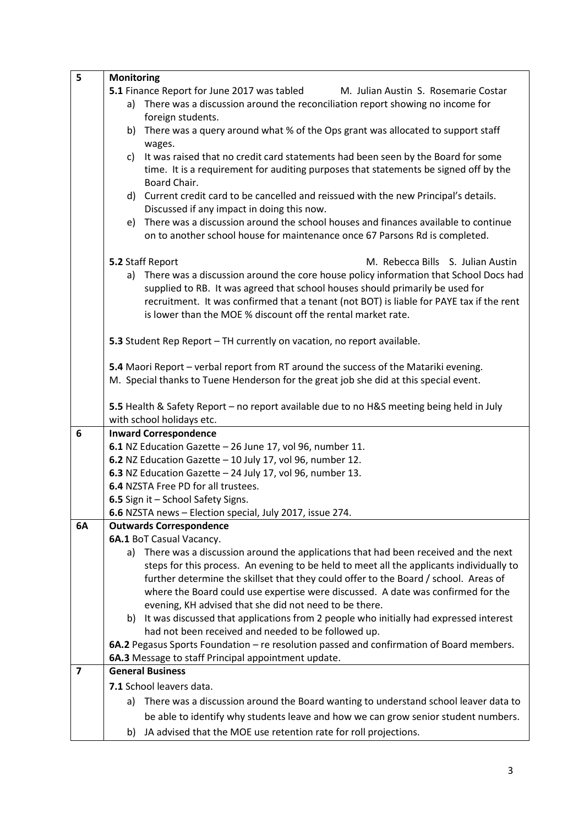| 5              | <b>Monitoring</b>                                                                                    |  |  |
|----------------|------------------------------------------------------------------------------------------------------|--|--|
|                | 5.1 Finance Report for June 2017 was tabled<br>M. Julian Austin S. Rosemarie Costar                  |  |  |
|                | There was a discussion around the reconciliation report showing no income for<br>a)                  |  |  |
|                | foreign students.                                                                                    |  |  |
|                | There was a query around what % of the Ops grant was allocated to support staff<br>b)                |  |  |
|                | wages.                                                                                               |  |  |
|                | It was raised that no credit card statements had been seen by the Board for some<br>C)               |  |  |
|                | time. It is a requirement for auditing purposes that statements be signed off by the<br>Board Chair. |  |  |
|                | d) Current credit card to be cancelled and reissued with the new Principal's details.                |  |  |
|                | Discussed if any impact in doing this now.                                                           |  |  |
|                | There was a discussion around the school houses and finances available to continue<br>e)             |  |  |
|                | on to another school house for maintenance once 67 Parsons Rd is completed.                          |  |  |
|                | M. Rebecca Bills S. Julian Austin<br>5.2 Staff Report                                                |  |  |
|                | There was a discussion around the core house policy information that School Docs had<br>a)           |  |  |
|                | supplied to RB. It was agreed that school houses should primarily be used for                        |  |  |
|                | recruitment. It was confirmed that a tenant (not BOT) is liable for PAYE tax if the rent             |  |  |
|                | is lower than the MOE % discount off the rental market rate.                                         |  |  |
|                |                                                                                                      |  |  |
|                | 5.3 Student Rep Report - TH currently on vacation, no report available.                              |  |  |
|                |                                                                                                      |  |  |
|                | 5.4 Maori Report - verbal report from RT around the success of the Matariki evening.                 |  |  |
|                | M. Special thanks to Tuene Henderson for the great job she did at this special event.                |  |  |
|                | 5.5 Health & Safety Report - no report available due to no H&S meeting being held in July            |  |  |
|                | with school holidays etc.                                                                            |  |  |
| 6              | <b>Inward Correspondence</b>                                                                         |  |  |
|                | 6.1 NZ Education Gazette - 26 June 17, vol 96, number 11.                                            |  |  |
|                | 6.2 NZ Education Gazette - 10 July 17, vol 96, number 12.                                            |  |  |
|                | 6.3 NZ Education Gazette - 24 July 17, vol 96, number 13.                                            |  |  |
|                | 6.4 NZSTA Free PD for all trustees.                                                                  |  |  |
|                | 6.5 Sign it - School Safety Signs.                                                                   |  |  |
|                | 6.6 NZSTA news - Election special, July 2017, issue 274.                                             |  |  |
| 6A             | <b>Outwards Correspondence</b>                                                                       |  |  |
|                | 6A.1 BoT Casual Vacancy.                                                                             |  |  |
|                | a) There was a discussion around the applications that had been received and the next                |  |  |
|                | steps for this process. An evening to be held to meet all the applicants individually to             |  |  |
|                | further determine the skillset that they could offer to the Board / school. Areas of                 |  |  |
|                | where the Board could use expertise were discussed. A date was confirmed for the                     |  |  |
|                | evening, KH advised that she did not need to be there.                                               |  |  |
|                | b) It was discussed that applications from 2 people who initially had expressed interest             |  |  |
|                | had not been received and needed to be followed up.                                                  |  |  |
|                | 6A.2 Pegasus Sports Foundation - re resolution passed and confirmation of Board members.             |  |  |
|                | 6A.3 Message to staff Principal appointment update.                                                  |  |  |
| $\overline{7}$ | <b>General Business</b>                                                                              |  |  |
|                | 7.1 School leavers data.                                                                             |  |  |
|                | There was a discussion around the Board wanting to understand school leaver data to<br>a)            |  |  |
|                | be able to identify why students leave and how we can grow senior student numbers.                   |  |  |
|                | JA advised that the MOE use retention rate for roll projections.<br>b)                               |  |  |